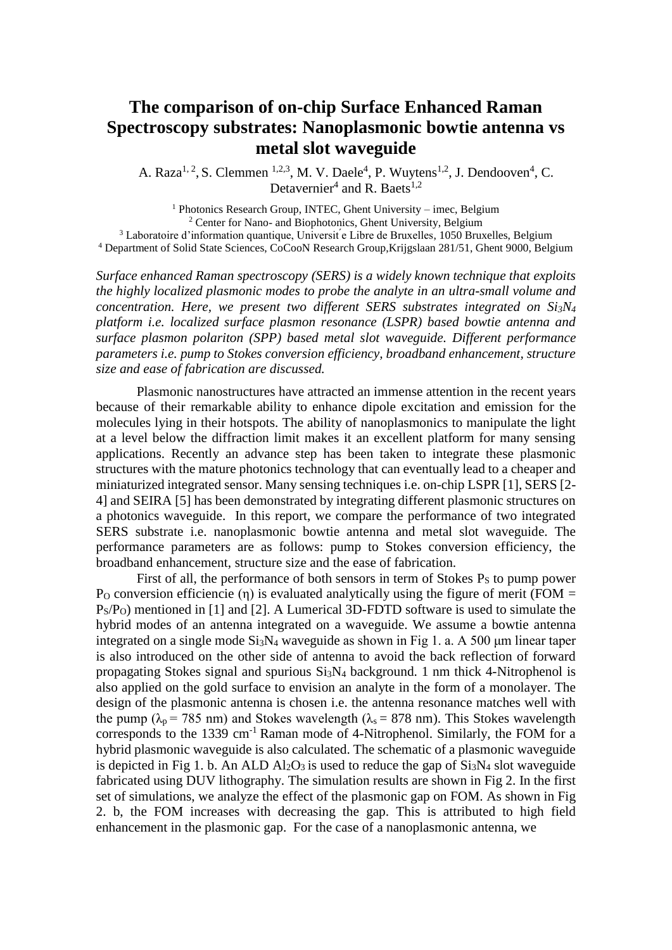## **The comparison of on-chip Surface Enhanced Raman Spectroscopy substrates: Nanoplasmonic bowtie antenna vs metal slot waveguide**

A. Raza<sup>1, 2</sup>, S. Clemmen <sup>1,2,3</sup>, M. V. Daele<sup>4</sup>, P. Wuytens<sup>1,2</sup>, J. Dendooven<sup>4</sup>, C. Detavernier<sup>4</sup> and R. Baets<sup>1,2</sup>

<sup>1</sup> Photonics Research Group, INTEC, Ghent University – imec, Belgium <sup>2</sup> Center for Nano- and Biophotonics, Ghent University, Belgium <sup>3</sup> Laboratoire d'information quantique, Universit e Libre de Bruxelles, 1050 Bruxelles, Belgium <sup>4</sup> Department of Solid State Sciences, CoCooN Research Group,Krijgslaan 281/51, Ghent 9000, Belgium

*Surface enhanced Raman spectroscopy (SERS) is a widely known technique that exploits the highly localized plasmonic modes to probe the analyte in an ultra-small volume and concentration. Here, we present two different SERS substrates integrated on Si3N<sup>4</sup> platform i.e. localized surface plasmon resonance (LSPR) based bowtie antenna and surface plasmon polariton (SPP) based metal slot waveguide. Different performance parameters i.e. pump to Stokes conversion efficiency, broadband enhancement, structure size and ease of fabrication are discussed.* 

Plasmonic nanostructures have attracted an immense attention in the recent years because of their remarkable ability to enhance dipole excitation and emission for the molecules lying in their hotspots. The ability of nanoplasmonics to manipulate the light at a level below the diffraction limit makes it an excellent platform for many sensing applications. Recently an advance step has been taken to integrate these plasmonic structures with the mature photonics technology that can eventually lead to a cheaper and miniaturized integrated sensor. Many sensing techniques i.e. on-chip LSPR [1], SERS [2- 4] and SEIRA [5] has been demonstrated by integrating different plasmonic structures on a photonics waveguide. In this report, we compare the performance of two integrated SERS substrate i.e. nanoplasmonic bowtie antenna and metal slot waveguide. The performance parameters are as follows: pump to Stokes conversion efficiency, the broadband enhancement, structure size and the ease of fabrication.

First of all, the performance of both sensors in term of Stokes  $P<sub>S</sub>$  to pump power P<sub>O</sub> conversion efficiencie (η) is evaluated analytically using the figure of merit (FOM =  $P<sub>S</sub>/P<sub>O</sub>$ ) mentioned in [1] and [2]. A Lumerical 3D-FDTD software is used to simulate the hybrid modes of an antenna integrated on a waveguide. We assume a bowtie antenna integrated on a single mode  $Si<sub>3</sub>N<sub>4</sub>$  waveguide as shown in Fig 1. a. A 500 µm linear taper is also introduced on the other side of antenna to avoid the back reflection of forward propagating Stokes signal and spurious Si3N<sup>4</sup> background. 1 nm thick 4-Nitrophenol is also applied on the gold surface to envision an analyte in the form of a monolayer. The design of the plasmonic antenna is chosen i.e. the antenna resonance matches well with the pump ( $\lambda_p$  = 785 nm) and Stokes wavelength ( $\lambda_s$  = 878 nm). This Stokes wavelength corresponds to the 1339 cm<sup>-1</sup> Raman mode of 4-Nitrophenol. Similarly, the FOM for a hybrid plasmonic waveguide is also calculated. The schematic of a plasmonic waveguide is depicted in Fig 1. b. An ALD  $Al_2O_3$  is used to reduce the gap of  $Si_3N_4$  slot waveguide fabricated using DUV lithography. The simulation results are shown in Fig 2. In the first set of simulations, we analyze the effect of the plasmonic gap on FOM. As shown in Fig 2. b, the FOM increases with decreasing the gap. This is attributed to high field enhancement in the plasmonic gap. For the case of a nanoplasmonic antenna, we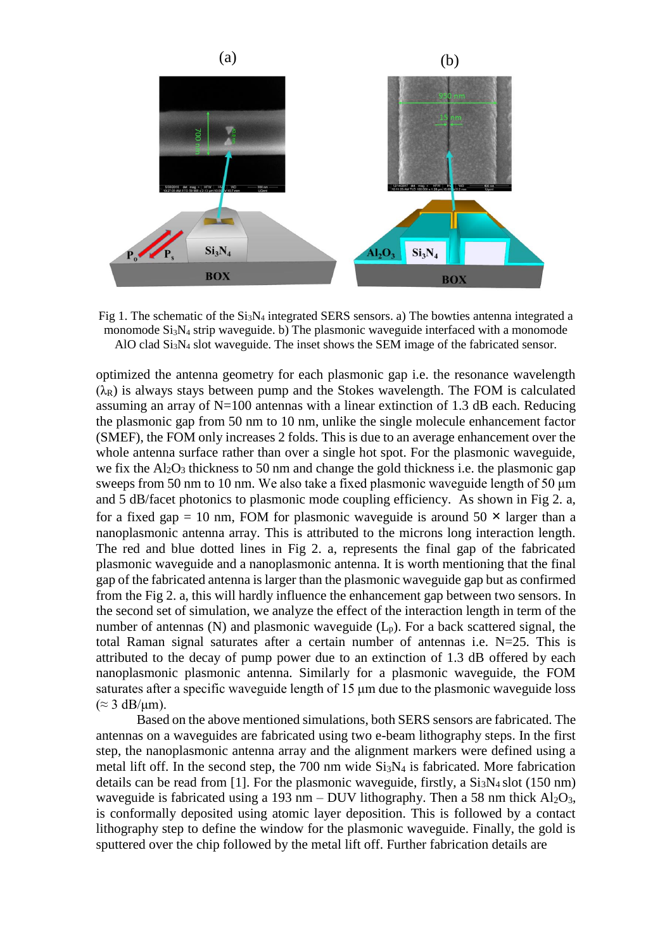

Fig 1. The schematic of the  $Si_3N_4$  integrated SERS sensors. a) The bowties antenna integrated a monomode  $Si<sub>3</sub>N<sub>4</sub>$  strip waveguide. b) The plasmonic waveguide interfaced with a monomode AlO clad Si3N<sup>4</sup> slot waveguide. The inset shows the SEM image of the fabricated sensor.

optimized the antenna geometry for each plasmonic gap i.e. the resonance wavelength  $(\lambda_R)$  is always stays between pump and the Stokes wavelength. The FOM is calculated assuming an array of N=100 antennas with a linear extinction of 1.3 dB each. Reducing the plasmonic gap from 50 nm to 10 nm, unlike the single molecule enhancement factor (SMEF), the FOM only increases 2 folds. This is due to an average enhancement over the whole antenna surface rather than over a single hot spot. For the plasmonic waveguide, we fix the  $Al_2O_3$  thickness to 50 nm and change the gold thickness i.e. the plasmonic gap sweeps from 50 nm to 10 nm. We also take a fixed plasmonic waveguide length of 50 μm and 5 dB/facet photonics to plasmonic mode coupling efficiency. As shown in Fig 2. a, for a fixed gap = 10 nm, FOM for plasmonic waveguide is around  $50 \times$  larger than a nanoplasmonic antenna array. This is attributed to the microns long interaction length. The red and blue dotted lines in Fig 2. a, represents the final gap of the fabricated plasmonic waveguide and a nanoplasmonic antenna. It is worth mentioning that the final gap of the fabricated antenna is larger than the plasmonic waveguide gap but as confirmed from the Fig 2. a, this will hardly influence the enhancement gap between two sensors. In the second set of simulation, we analyze the effect of the interaction length in term of the number of antennas (N) and plasmonic waveguide  $(L_p)$ . For a back scattered signal, the total Raman signal saturates after a certain number of antennas i.e.  $N=25$ . This is attributed to the decay of pump power due to an extinction of 1.3 dB offered by each nanoplasmonic plasmonic antenna. Similarly for a plasmonic waveguide, the FOM saturates after a specific waveguide length of 15 μm due to the plasmonic waveguide loss  $(\approx 3 \text{ dB}/\text{µm})$ .

Based on the above mentioned simulations, both SERS sensors are fabricated. The antennas on a waveguides are fabricated using two e-beam lithography steps. In the first step, the nanoplasmonic antenna array and the alignment markers were defined using a metal lift off. In the second step, the 700 nm wide  $Si<sub>3</sub>N<sub>4</sub>$  is fabricated. More fabrication details can be read from [1]. For the plasmonic waveguide, firstly, a  $Si<sub>3</sub>N<sub>4</sub>$  slot (150 nm) waveguide is fabricated using a 193 nm – DUV lithography. Then a 58 nm thick  $Al_2O_3$ , is conformally deposited using atomic layer deposition. This is followed by a contact lithography step to define the window for the plasmonic waveguide. Finally, the gold is sputtered over the chip followed by the metal lift off. Further fabrication details are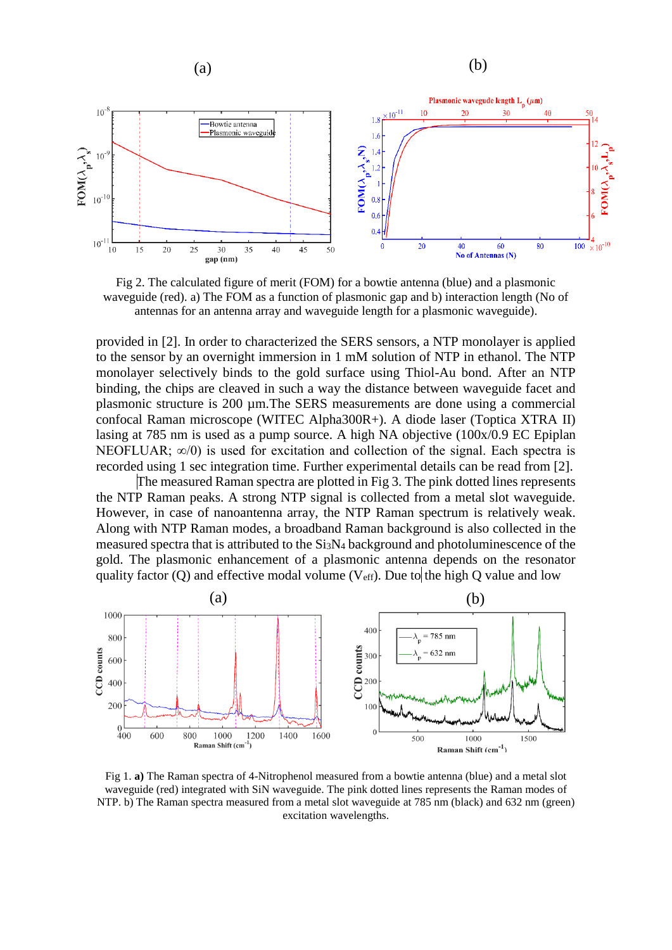

Fig 2. The calculated figure of merit (FOM) for a bowtie antenna (blue) and a plasmonic waveguide (red). a) The FOM as a function of plasmonic gap and b) interaction length (No of antennas for an antenna array and waveguide length for a plasmonic waveguide).

provided in [2]. In order to characterized the SERS sensors, a NTP monolayer is applied to the sensor by an overnight immersion in 1 mM solution of NTP in ethanol. The NTP monolayer selectively binds to the gold surface using Thiol-Au bond. After an NTP binding, the chips are cleaved in such a way the distance between waveguide facet and plasmonic structure is 200 µm. The SERS measurements are done using a commercial confocal Raman microscope (WITEC Alpha300R+). A diode laser (Toptica XTRA II) lasing at 785 nm is used as a pump source. A high NA objective (100x/0.9 EC Epiplan NEOFLUAR;  $\infty/0$ ) is used for excitation and collection of the signal. Each spectra is recorded using 1 sec integration time. Further experimental details can be read from [2].

The measured Raman spectra are plotted in Fig 3. The pink dotted lines represents the NTP Raman peaks. A strong NTP signal is collected from a metal slot waveguide. However, in case of nanoantenna array, the NTP Raman spectrum is relatively weak. Along with NTP Raman modes, a broadband Raman background is also collected in the measured spectra that is attributed to the Si3N<sup>4</sup> background and photoluminescence of the gold. The plasmonic enhancement of a plasmonic antenna depends on the resonator quality factor (Q) and effective modal volume ( $V_{\text{eff}}$ ). Due to the high Q value and low



Fig 1. **a)** The Raman spectra of 4-Nitrophenol measured from a bowtie antenna (blue) and a metal slot waveguide (red) integrated with SiN waveguide. The pink dotted lines represents the Raman modes of NTP. b) The Raman spectra measured from a metal slot waveguide at 785 nm (black) and 632 nm (green) excitation wavelengths.